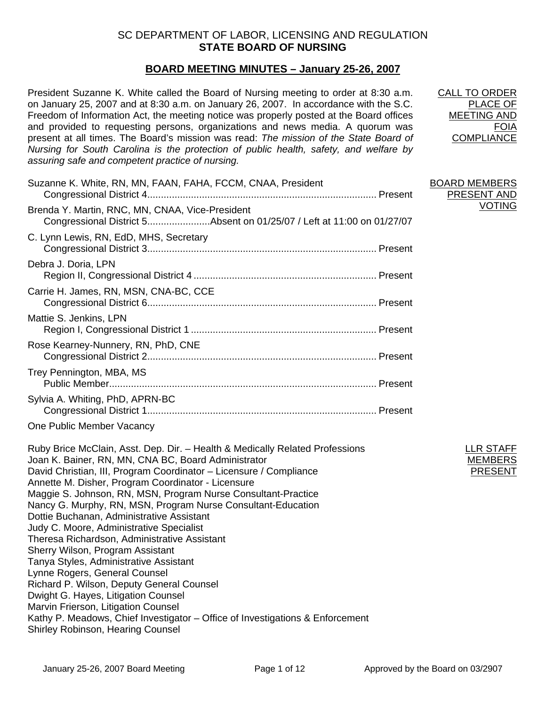# SC DEPARTMENT OF LABOR, LICENSING AND REGULATION **STATE BOARD OF NURSING**

# **BOARD MEETING MINUTES – January 25-26, 2007**

President Suzanne K. White called the Board of Nursing meeting to order at 8:30 a.m. on January 25, 2007 and at 8:30 a.m. on January 26, 2007. In accordance with the S.C. Freedom of Information Act, the meeting notice was properly posted at the Board offices and provided to requesting persons, organizations and news media. A quorum was present at all times. The Board's mission was read: *The mission of the State Board of Nursing for South Carolina is the protection of public health, safety, and welfare by assuring safe and competent practice of nursing.*

| Suzanne K. White, RN, MN, FAAN, FAHA, FCCM, CNAA, President                                                               |  | <b>BOARD MEMBERS</b><br>PRESENT AND<br><b>VOTING</b> |
|---------------------------------------------------------------------------------------------------------------------------|--|------------------------------------------------------|
| Brenda Y. Martin, RNC, MN, CNAA, Vice-President<br>Congressional District 5Absent on 01/25/07 / Left at 11:00 on 01/27/07 |  |                                                      |
| C. Lynn Lewis, RN, EdD, MHS, Secretary                                                                                    |  |                                                      |
| Debra J. Doria, LPN                                                                                                       |  |                                                      |
| Carrie H. James, RN, MSN, CNA-BC, CCE                                                                                     |  |                                                      |
| Mattie S. Jenkins, LPN                                                                                                    |  |                                                      |
| Rose Kearney-Nunnery, RN, PhD, CNE                                                                                        |  |                                                      |
| Trey Pennington, MBA, MS                                                                                                  |  |                                                      |
| Sylvia A. Whiting, PhD, APRN-BC                                                                                           |  |                                                      |
|                                                                                                                           |  |                                                      |

One Public Member Vacancy

Ruby Brice McClain, Asst. Dep. Dir. – Health & Medically Related Professions Joan K. Bainer, RN, MN, CNA BC, Board Administrator David Christian, III, Program Coordinator – Licensure / Compliance Annette M. Disher, Program Coordinator - Licensure Maggie S. Johnson, RN, MSN, Program Nurse Consultant-Practice Nancy G. Murphy, RN, MSN, Program Nurse Consultant-Education Dottie Buchanan, Administrative Assistant Judy C. Moore, Administrative Specialist Theresa Richardson, Administrative Assistant Sherry Wilson, Program Assistant Tanya Styles, Administrative Assistant Lynne Rogers, General Counsel Richard P. Wilson, Deputy General Counsel Dwight G. Hayes, Litigation Counsel Marvin Frierson, Litigation Counsel Kathy P. Meadows, Chief Investigator – Office of Investigations & Enforcement Shirley Robinson, Hearing Counsel

CALL TO ORDER PLACE OF MEETING AND FOIA **COMPLIANCE** 

| PRESENT AND |
|-------------|
| VOTING      |
|             |

LLR STAFF MEMBER PRESENT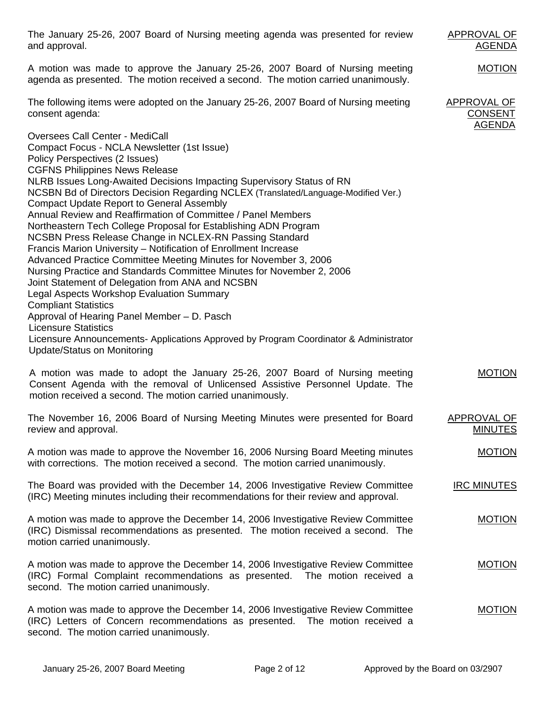| The January 25-26, 2007 Board of Nursing meeting agenda was presented for review<br>and approval.                                                                                                                                                                                                                                                                                                                                                                                                                                                                                                                                                                                                                                                                                                                                                                                                                                                                                                                                                                                                                                                     | APPROVAL OF<br><u>AGENDA</u>                   |
|-------------------------------------------------------------------------------------------------------------------------------------------------------------------------------------------------------------------------------------------------------------------------------------------------------------------------------------------------------------------------------------------------------------------------------------------------------------------------------------------------------------------------------------------------------------------------------------------------------------------------------------------------------------------------------------------------------------------------------------------------------------------------------------------------------------------------------------------------------------------------------------------------------------------------------------------------------------------------------------------------------------------------------------------------------------------------------------------------------------------------------------------------------|------------------------------------------------|
| A motion was made to approve the January 25-26, 2007 Board of Nursing meeting<br>agenda as presented. The motion received a second. The motion carried unanimously.                                                                                                                                                                                                                                                                                                                                                                                                                                                                                                                                                                                                                                                                                                                                                                                                                                                                                                                                                                                   | <b>MOTION</b>                                  |
| The following items were adopted on the January 25-26, 2007 Board of Nursing meeting<br>consent agenda:                                                                                                                                                                                                                                                                                                                                                                                                                                                                                                                                                                                                                                                                                                                                                                                                                                                                                                                                                                                                                                               | APPROVAL OF<br><b>CONSENT</b><br><u>AGENDA</u> |
| <b>Oversees Call Center - MediCall</b><br>Compact Focus - NCLA Newsletter (1st Issue)<br>Policy Perspectives (2 Issues)<br><b>CGFNS Philippines News Release</b><br>NLRB Issues Long-Awaited Decisions Impacting Supervisory Status of RN<br>NCSBN Bd of Directors Decision Regarding NCLEX (Translated/Language-Modified Ver.)<br><b>Compact Update Report to General Assembly</b><br>Annual Review and Reaffirmation of Committee / Panel Members<br>Northeastern Tech College Proposal for Establishing ADN Program<br>NCSBN Press Release Change in NCLEX-RN Passing Standard<br>Francis Marion University - Notification of Enrollment Increase<br>Advanced Practice Committee Meeting Minutes for November 3, 2006<br>Nursing Practice and Standards Committee Minutes for November 2, 2006<br>Joint Statement of Delegation from ANA and NCSBN<br><b>Legal Aspects Workshop Evaluation Summary</b><br><b>Compliant Statistics</b><br>Approval of Hearing Panel Member - D. Pasch<br><b>Licensure Statistics</b><br>Licensure Announcements- Applications Approved by Program Coordinator & Administrator<br><b>Update/Status on Monitoring</b> |                                                |
| A motion was made to adopt the January 25-26, 2007 Board of Nursing meeting<br>Consent Agenda with the removal of Unlicensed Assistive Personnel Update. The<br>motion received a second. The motion carried unanimously.                                                                                                                                                                                                                                                                                                                                                                                                                                                                                                                                                                                                                                                                                                                                                                                                                                                                                                                             | <b>MOTION</b>                                  |
| The November 16, 2006 Board of Nursing Meeting Minutes were presented for Board<br>review and approval.                                                                                                                                                                                                                                                                                                                                                                                                                                                                                                                                                                                                                                                                                                                                                                                                                                                                                                                                                                                                                                               | <b>APPROVAL OF</b><br><b>MINUTES</b>           |
| A motion was made to approve the November 16, 2006 Nursing Board Meeting minutes<br>with corrections. The motion received a second. The motion carried unanimously.                                                                                                                                                                                                                                                                                                                                                                                                                                                                                                                                                                                                                                                                                                                                                                                                                                                                                                                                                                                   | <b>MOTION</b>                                  |
| The Board was provided with the December 14, 2006 Investigative Review Committee<br>(IRC) Meeting minutes including their recommendations for their review and approval.                                                                                                                                                                                                                                                                                                                                                                                                                                                                                                                                                                                                                                                                                                                                                                                                                                                                                                                                                                              | <b>IRC MINUTES</b>                             |
| A motion was made to approve the December 14, 2006 Investigative Review Committee<br>(IRC) Dismissal recommendations as presented. The motion received a second. The<br>motion carried unanimously.                                                                                                                                                                                                                                                                                                                                                                                                                                                                                                                                                                                                                                                                                                                                                                                                                                                                                                                                                   | <b>MOTION</b>                                  |
| A motion was made to approve the December 14, 2006 Investigative Review Committee<br>(IRC) Formal Complaint recommendations as presented. The motion received a<br>second. The motion carried unanimously.                                                                                                                                                                                                                                                                                                                                                                                                                                                                                                                                                                                                                                                                                                                                                                                                                                                                                                                                            | <b>MOTION</b>                                  |
| A motion was made to approve the December 14, 2006 Investigative Review Committee<br>(IRC) Letters of Concern recommendations as presented. The motion received a<br>second. The motion carried unanimously.                                                                                                                                                                                                                                                                                                                                                                                                                                                                                                                                                                                                                                                                                                                                                                                                                                                                                                                                          | <b>MOTION</b>                                  |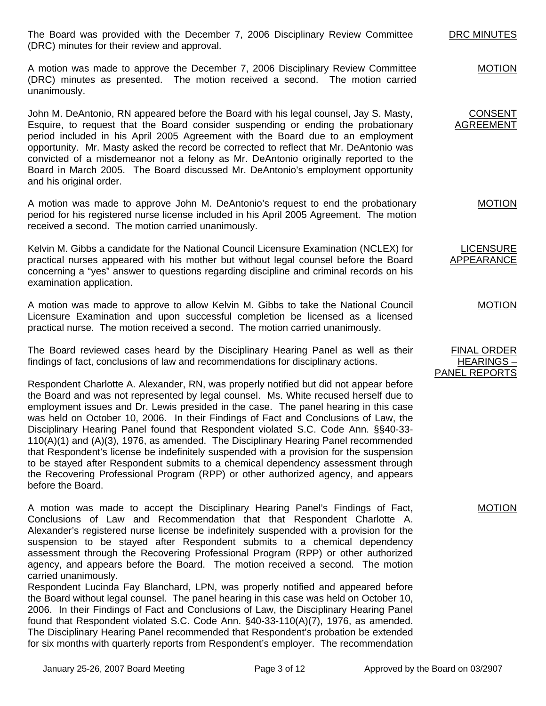The Board was provided with the December 7, 2006 Disciplinary Review Committee (DRC) minutes for their review and approval. DRC MINUTES

A motion was made to approve the December 7, 2006 Disciplinary Review Committee (DRC) minutes as presented. The motion received a second. The motion carried unanimously.

John M. DeAntonio, RN appeared before the Board with his legal counsel, Jay S. Masty, Esquire, to request that the Board consider suspending or ending the probationary period included in his April 2005 Agreement with the Board due to an employment opportunity. Mr. Masty asked the record be corrected to reflect that Mr. DeAntonio was convicted of a misdemeanor not a felony as Mr. DeAntonio originally reported to the Board in March 2005. The Board discussed Mr. DeAntonio's employment opportunity and his original order.

A motion was made to approve John M. DeAntonio's request to end the probationary period for his registered nurse license included in his April 2005 Agreement. The motion received a second. The motion carried unanimously.

Kelvin M. Gibbs a candidate for the National Council Licensure Examination (NCLEX) for practical nurses appeared with his mother but without legal counsel before the Board concerning a "yes" answer to questions regarding discipline and criminal records on his examination application.

A motion was made to approve to allow Kelvin M. Gibbs to take the National Council Licensure Examination and upon successful completion be licensed as a licensed practical nurse. The motion received a second. The motion carried unanimously.

The Board reviewed cases heard by the Disciplinary Hearing Panel as well as their findings of fact, conclusions of law and recommendations for disciplinary actions.

Respondent Charlotte A. Alexander, RN, was properly notified but did not appear before the Board and was not represented by legal counsel. Ms. White recused herself due to employment issues and Dr. Lewis presided in the case. The panel hearing in this case was held on October 10, 2006. In their Findings of Fact and Conclusions of Law, the Disciplinary Hearing Panel found that Respondent violated S.C. Code Ann. §§40-33- 110(A)(1) and (A)(3), 1976, as amended. The Disciplinary Hearing Panel recommended that Respondent's license be indefinitely suspended with a provision for the suspension to be stayed after Respondent submits to a chemical dependency assessment through the Recovering Professional Program (RPP) or other authorized agency, and appears before the Board.

A motion was made to accept the Disciplinary Hearing Panel's Findings of Fact, Conclusions of Law and Recommendation that that Respondent Charlotte A. Alexander's registered nurse license be indefinitely suspended with a provision for the suspension to be stayed after Respondent submits to a chemical dependency assessment through the Recovering Professional Program (RPP) or other authorized agency, and appears before the Board. The motion received a second. The motion carried unanimously.

Respondent Lucinda Fay Blanchard, LPN, was properly notified and appeared before the Board without legal counsel. The panel hearing in this case was held on October 10, 2006. In their Findings of Fact and Conclusions of Law, the Disciplinary Hearing Panel found that Respondent violated S.C. Code Ann. §40-33-110(A)(7), 1976, as amended. The Disciplinary Hearing Panel recommended that Respondent's probation be extended for six months with quarterly reports from Respondent's employer. The recommendation MOTION

# MOTION

FINAL ORDER HEARINGS – PANEL REPORTS

CONSENT AGREEMENT

MOTION

MOTION

LICENSURE APPEARANCE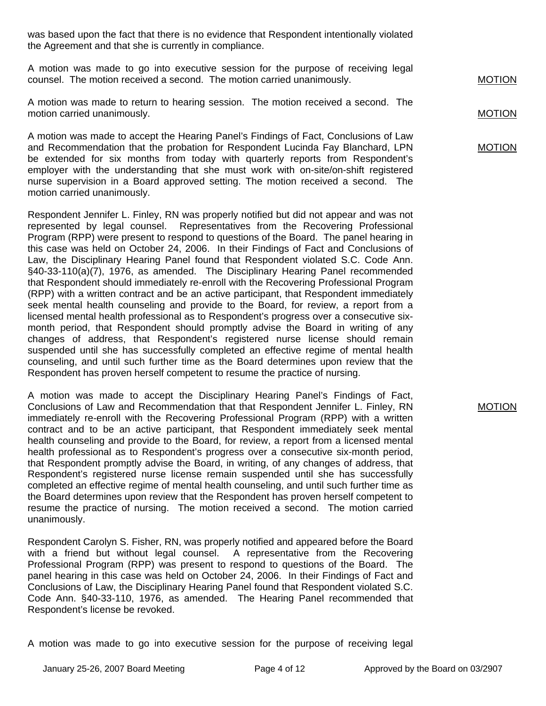was based upon the fact that there is no evidence that Respondent intentionally violated the Agreement and that she is currently in compliance.

A motion was made to go into executive session for the purpose of receiving legal counsel. The motion received a second. The motion carried unanimously.

A motion was made to return to hearing session. The motion received a second. The motion carried unanimously.

A motion was made to accept the Hearing Panel's Findings of Fact, Conclusions of Law and Recommendation that the probation for Respondent Lucinda Fay Blanchard, LPN be extended for six months from today with quarterly reports from Respondent's employer with the understanding that she must work with on-site/on-shift registered nurse supervision in a Board approved setting. The motion received a second. The motion carried unanimously.

Respondent Jennifer L. Finley, RN was properly notified but did not appear and was not represented by legal counsel. Representatives from the Recovering Professional Program (RPP) were present to respond to questions of the Board. The panel hearing in this case was held on October 24, 2006. In their Findings of Fact and Conclusions of Law, the Disciplinary Hearing Panel found that Respondent violated S.C. Code Ann. §40-33-110(a)(7), 1976, as amended. The Disciplinary Hearing Panel recommended that Respondent should immediately re-enroll with the Recovering Professional Program (RPP) with a written contract and be an active participant, that Respondent immediately seek mental health counseling and provide to the Board, for review, a report from a licensed mental health professional as to Respondent's progress over a consecutive sixmonth period, that Respondent should promptly advise the Board in writing of any changes of address, that Respondent's registered nurse license should remain suspended until she has successfully completed an effective regime of mental health counseling, and until such further time as the Board determines upon review that the Respondent has proven herself competent to resume the practice of nursing.

A motion was made to accept the Disciplinary Hearing Panel's Findings of Fact, Conclusions of Law and Recommendation that that Respondent Jennifer L. Finley, RN immediately re-enroll with the Recovering Professional Program (RPP) with a written contract and to be an active participant, that Respondent immediately seek mental health counseling and provide to the Board, for review, a report from a licensed mental health professional as to Respondent's progress over a consecutive six-month period, that Respondent promptly advise the Board, in writing, of any changes of address, that Respondent's registered nurse license remain suspended until she has successfully completed an effective regime of mental health counseling, and until such further time as the Board determines upon review that the Respondent has proven herself competent to resume the practice of nursing. The motion received a second. The motion carried unanimously.

Respondent Carolyn S. Fisher, RN, was properly notified and appeared before the Board with a friend but without legal counsel. A representative from the Recovering Professional Program (RPP) was present to respond to questions of the Board. The panel hearing in this case was held on October 24, 2006. In their Findings of Fact and Conclusions of Law, the Disciplinary Hearing Panel found that Respondent violated S.C. Code Ann. §40-33-110, 1976, as amended. The Hearing Panel recommended that Respondent's license be revoked.

A motion was made to go into executive session for the purpose of receiving legal

MOTION

MOTION

MOTION

MOTION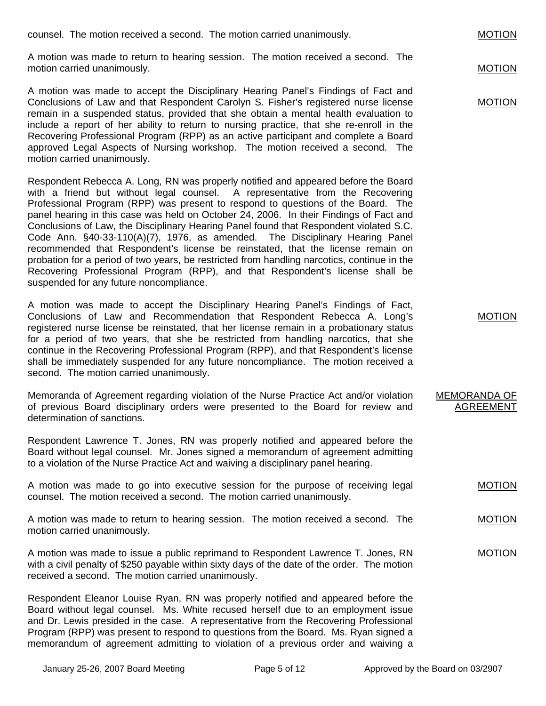| counsel. The motion received a second. The motion carried unanimously.                                                                                                                                                                                                                                                                                                                                                                                                                                                                                              | <b>MOTION</b> |
|---------------------------------------------------------------------------------------------------------------------------------------------------------------------------------------------------------------------------------------------------------------------------------------------------------------------------------------------------------------------------------------------------------------------------------------------------------------------------------------------------------------------------------------------------------------------|---------------|
| A motion was made to return to hearing session. The motion received a second. The<br>motion carried unanimously.                                                                                                                                                                                                                                                                                                                                                                                                                                                    | <b>MOTION</b> |
| A motion was made to accept the Disciplinary Hearing Panel's Findings of Fact and<br>Conclusions of Law and that Respondent Carolyn S. Fisher's registered nurse license<br>remain in a suspended status, provided that she obtain a mental health evaluation to<br>include a report of her ability to return to nursing practice, that she re-enroll in the<br>Recovering Professional Program (RPP) as an active participant and complete a Board<br>approved Legal Aspects of Nursing workshop. The motion received a second. The<br>motion carried unanimously. | <b>MOTION</b> |

Respondent Rebecca A. Long, RN was properly notified and appeared before the Board with a friend but without legal counsel. A representative from the Recovering Professional Program (RPP) was present to respond to questions of the Board. The panel hearing in this case was held on October 24, 2006. In their Findings of Fact and Conclusions of Law, the Disciplinary Hearing Panel found that Respondent violated S.C. Code Ann. §40-33-110(A)(7), 1976, as amended. The Disciplinary Hearing Panel recommended that Respondent's license be reinstated, that the license remain on probation for a period of two years, be restricted from handling narcotics, continue in the Recovering Professional Program (RPP), and that Respondent's license shall be suspended for any future noncompliance.

A motion was made to accept the Disciplinary Hearing Panel's Findings of Fact, Conclusions of Law and Recommendation that Respondent Rebecca A. Long's registered nurse license be reinstated, that her license remain in a probationary status for a period of two years, that she be restricted from handling narcotics, that she continue in the Recovering Professional Program (RPP), and that Respondent's license shall be immediately suspended for any future noncompliance. The motion received a second. The motion carried unanimously.

Memoranda of Agreement regarding violation of the Nurse Practice Act and/or violation of previous Board disciplinary orders were presented to the Board for review and determination of sanctions.

Respondent Lawrence T. Jones, RN was properly notified and appeared before the Board without legal counsel. Mr. Jones signed a memorandum of agreement admitting to a violation of the Nurse Practice Act and waiving a disciplinary panel hearing.

A motion was made to go into executive session for the purpose of receiving legal counsel. The motion received a second. The motion carried unanimously.

A motion was made to return to hearing session. The motion received a second. The motion carried unanimously.

A motion was made to issue a public reprimand to Respondent Lawrence T. Jones, RN with a civil penalty of \$250 payable within sixty days of the date of the order. The motion received a second. The motion carried unanimously.

Respondent Eleanor Louise Ryan, RN was properly notified and appeared before the Board without legal counsel. Ms. White recused herself due to an employment issue and Dr. Lewis presided in the case. A representative from the Recovering Professional Program (RPP) was present to respond to questions from the Board. Ms. Ryan signed a memorandum of agreement admitting to violation of a previous order and waiving a MOTION

MOTION

MOTION

MOTION

#### MEMORANDA OF AGREEMENT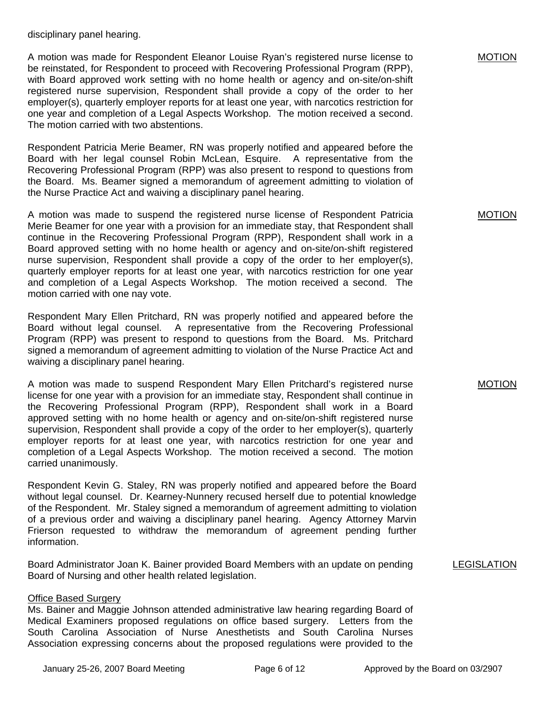disciplinary panel hearing.

A motion was made for Respondent Eleanor Louise Ryan's registered nurse license to be reinstated, for Respondent to proceed with Recovering Professional Program (RPP), with Board approved work setting with no home health or agency and on-site/on-shift registered nurse supervision, Respondent shall provide a copy of the order to her employer(s), quarterly employer reports for at least one year, with narcotics restriction for one year and completion of a Legal Aspects Workshop. The motion received a second. The motion carried with two abstentions.

Respondent Patricia Merie Beamer, RN was properly notified and appeared before the Board with her legal counsel Robin McLean, Esquire. A representative from the Recovering Professional Program (RPP) was also present to respond to questions from the Board. Ms. Beamer signed a memorandum of agreement admitting to violation of the Nurse Practice Act and waiving a disciplinary panel hearing.

A motion was made to suspend the registered nurse license of Respondent Patricia Merie Beamer for one year with a provision for an immediate stay, that Respondent shall continue in the Recovering Professional Program (RPP), Respondent shall work in a Board approved setting with no home health or agency and on-site/on-shift registered nurse supervision, Respondent shall provide a copy of the order to her employer(s), quarterly employer reports for at least one year, with narcotics restriction for one year and completion of a Legal Aspects Workshop. The motion received a second. The motion carried with one nay vote.

Respondent Mary Ellen Pritchard, RN was properly notified and appeared before the Board without legal counsel. A representative from the Recovering Professional Program (RPP) was present to respond to questions from the Board. Ms. Pritchard signed a memorandum of agreement admitting to violation of the Nurse Practice Act and waiving a disciplinary panel hearing.

A motion was made to suspend Respondent Mary Ellen Pritchard's registered nurse license for one year with a provision for an immediate stay, Respondent shall continue in the Recovering Professional Program (RPP), Respondent shall work in a Board approved setting with no home health or agency and on-site/on-shift registered nurse supervision, Respondent shall provide a copy of the order to her employer(s), quarterly employer reports for at least one year, with narcotics restriction for one year and completion of a Legal Aspects Workshop. The motion received a second. The motion carried unanimously.

Respondent Kevin G. Staley, RN was properly notified and appeared before the Board without legal counsel. Dr. Kearney-Nunnery recused herself due to potential knowledge of the Respondent. Mr. Staley signed a memorandum of agreement admitting to violation of a previous order and waiving a disciplinary panel hearing. Agency Attorney Marvin Frierson requested to withdraw the memorandum of agreement pending further information.

Board Administrator Joan K. Bainer provided Board Members with an update on pending Board of Nursing and other health related legislation.

# **Office Based Surgerv**

Ms. Bainer and Maggie Johnson attended administrative law hearing regarding Board of Medical Examiners proposed regulations on office based surgery. Letters from the South Carolina Association of Nurse Anesthetists and South Carolina Nurses Association expressing concerns about the proposed regulations were provided to the MOTION

#### MOTION

#### MOTION

# LEGISLATION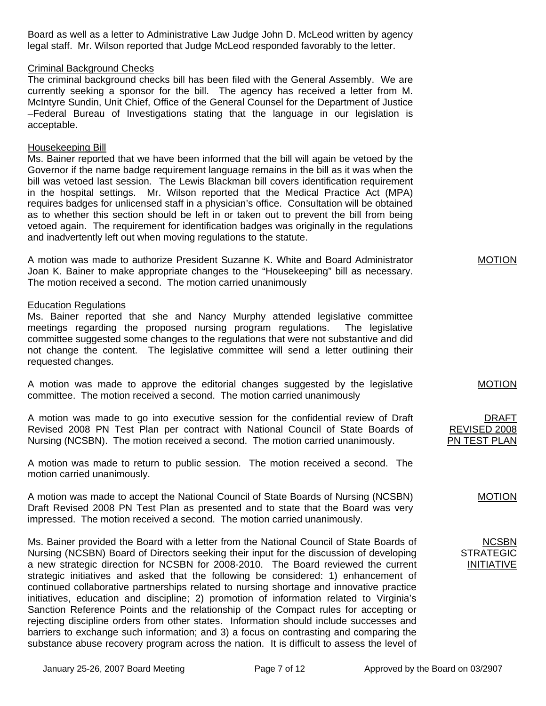Board as well as a letter to Administrative Law Judge John D. McLeod written by agency legal staff. Mr. Wilson reported that Judge McLeod responded favorably to the letter.

## Criminal Background Checks

The criminal background checks bill has been filed with the General Assembly. We are currently seeking a sponsor for the bill. The agency has received a letter from M. McIntyre Sundin, Unit Chief, Office of the General Counsel for the Department of Justice –Federal Bureau of Investigations stating that the language in our legislation is acceptable.

## Housekeeping Bill

Ms. Bainer reported that we have been informed that the bill will again be vetoed by the Governor if the name badge requirement language remains in the bill as it was when the bill was vetoed last session. The Lewis Blackman bill covers identification requirement in the hospital settings. Mr. Wilson reported that the Medical Practice Act (MPA) requires badges for unlicensed staff in a physician's office. Consultation will be obtained as to whether this section should be left in or taken out to prevent the bill from being vetoed again. The requirement for identification badges was originally in the regulations and inadvertently left out when moving regulations to the statute.

A motion was made to authorize President Suzanne K. White and Board Administrator Joan K. Bainer to make appropriate changes to the "Housekeeping" bill as necessary. The motion received a second. The motion carried unanimously

## Education Regulations

Ms. Bainer reported that she and Nancy Murphy attended legislative committee meetings regarding the proposed nursing program regulations. The legislative committee suggested some changes to the regulations that were not substantive and did not change the content. The legislative committee will send a letter outlining their requested changes.

A motion was made to approve the editorial changes suggested by the legislative committee. The motion received a second. The motion carried unanimously

A motion was made to go into executive session for the confidential review of Draft Revised 2008 PN Test Plan per contract with National Council of State Boards of Nursing (NCSBN). The motion received a second. The motion carried unanimously.

A motion was made to return to public session. The motion received a second. The motion carried unanimously.

A motion was made to accept the National Council of State Boards of Nursing (NCSBN) Draft Revised 2008 PN Test Plan as presented and to state that the Board was very impressed. The motion received a second. The motion carried unanimously.

Ms. Bainer provided the Board with a letter from the National Council of State Boards of Nursing (NCSBN) Board of Directors seeking their input for the discussion of developing a new strategic direction for NCSBN for 2008-2010. The Board reviewed the current strategic initiatives and asked that the following be considered: 1) enhancement of continued collaborative partnerships related to nursing shortage and innovative practice initiatives, education and discipline; 2) promotion of information related to Virginia's Sanction Reference Points and the relationship of the Compact rules for accepting or rejecting discipline orders from other states. Information should include successes and barriers to exchange such information; and 3) a focus on contrasting and comparing the substance abuse recovery program across the nation. It is difficult to assess the level of

MOTION

MOTION

DRAFT REVISED 2008 PN TEST PLAN

# MOTION

NCSBN STRATI INITIATIVE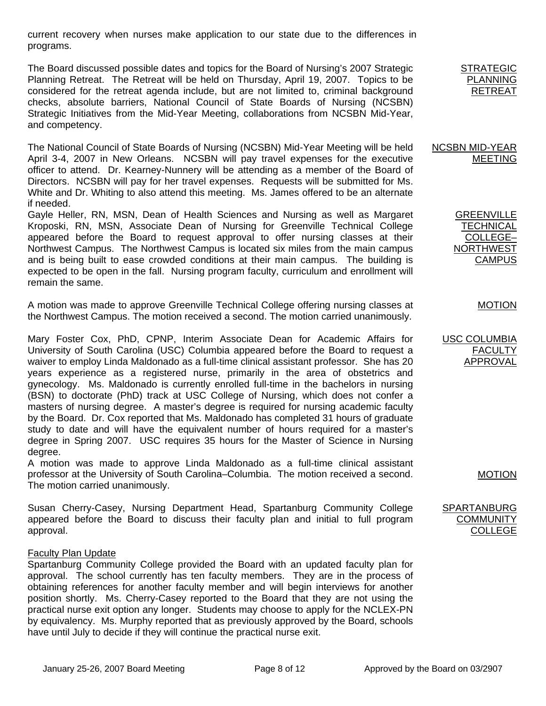current recovery when nurses make application to our state due to the differences in programs.

The Board discussed possible dates and topics for the Board of Nursing's 2007 Strategic Planning Retreat. The Retreat will be held on Thursday, April 19, 2007. Topics to be considered for the retreat agenda include, but are not limited to, criminal background checks, absolute barriers, National Council of State Boards of Nursing (NCSBN) Strategic Initiatives from the Mid-Year Meeting, collaborations from NCSBN Mid-Year, and competency.

The National Council of State Boards of Nursing (NCSBN) Mid-Year Meeting will be held April 3-4, 2007 in New Orleans. NCSBN will pay travel expenses for the executive officer to attend. Dr. Kearney-Nunnery will be attending as a member of the Board of Directors. NCSBN will pay for her travel expenses. Requests will be submitted for Ms. White and Dr. Whiting to also attend this meeting. Ms. James offered to be an alternate if needed.

Gayle Heller, RN, MSN, Dean of Health Sciences and Nursing as well as Margaret Kroposki, RN, MSN, Associate Dean of Nursing for Greenville Technical College appeared before the Board to request approval to offer nursing classes at their Northwest Campus. The Northwest Campus is located six miles from the main campus and is being built to ease crowded conditions at their main campus. The building is expected to be open in the fall. Nursing program faculty, curriculum and enrollment will remain the same.

A motion was made to approve Greenville Technical College offering nursing classes at the Northwest Campus. The motion received a second. The motion carried unanimously.

Mary Foster Cox, PhD, CPNP, Interim Associate Dean for Academic Affairs for University of South Carolina (USC) Columbia appeared before the Board to request a waiver to employ Linda Maldonado as a full-time clinical assistant professor. She has 20 years experience as a registered nurse, primarily in the area of obstetrics and gynecology. Ms. Maldonado is currently enrolled full-time in the bachelors in nursing (BSN) to doctorate (PhD) track at USC College of Nursing, which does not confer a masters of nursing degree. A master's degree is required for nursing academic faculty by the Board. Dr. Cox reported that Ms. Maldonado has completed 31 hours of graduate study to date and will have the equivalent number of hours required for a master's degree in Spring 2007. USC requires 35 hours for the Master of Science in Nursing degree.

A motion was made to approve Linda Maldonado as a full-time clinical assistant professor at the University of South Carolina–Columbia. The motion received a second. The motion carried unanimously.

Susan Cherry-Casey, Nursing Department Head, Spartanburg Community College appeared before the Board to discuss their faculty plan and initial to full program approval.

### Faculty Plan Update

Spartanburg Community College provided the Board with an updated faculty plan for approval. The school currently has ten faculty members. They are in the process of obtaining references for another faculty member and will begin interviews for another position shortly. Ms. Cherry-Casey reported to the Board that they are not using the practical nurse exit option any longer. Students may choose to apply for the NCLEX-PN by equivalency. Ms. Murphy reported that as previously approved by the Board, schools have until July to decide if they will continue the practical nurse exit.

NCSBN MID-YEAR MEETING

> GREENVILLE **TECHNICAL** COLLEGE– NORTHWEST **CAMPUS**

# MOTION

USC COLUMBIA FACULTY APPROVAL

MOTION

# SPARTANBURG **COMMUNITY COLLEGE**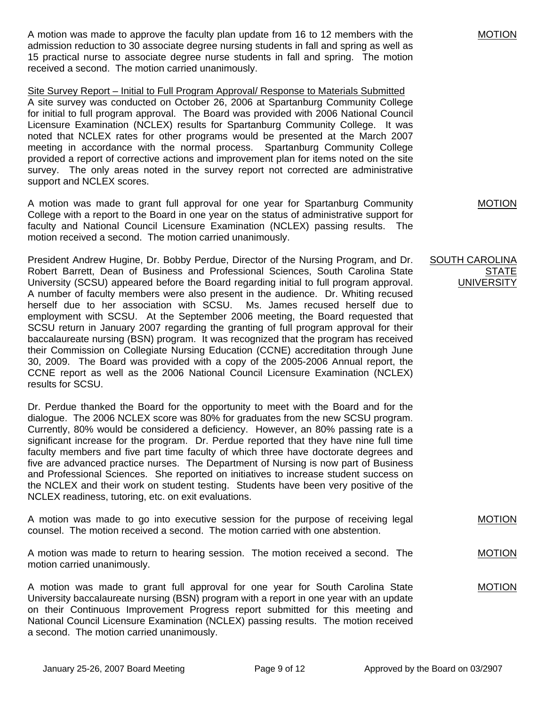A motion was made to approve the faculty plan update from 16 to 12 members with the admission reduction to 30 associate degree nursing students in fall and spring as well as 15 practical nurse to associate degree nurse students in fall and spring. The motion received a second. The motion carried unanimously.

Site Survey Report – Initial to Full Program Approval/ Response to Materials Submitted A site survey was conducted on October 26, 2006 at Spartanburg Community College for initial to full program approval. The Board was provided with 2006 National Council Licensure Examination (NCLEX) results for Spartanburg Community College. It was noted that NCLEX rates for other programs would be presented at the March 2007 meeting in accordance with the normal process. Spartanburg Community College provided a report of corrective actions and improvement plan for items noted on the site survey. The only areas noted in the survey report not corrected are administrative support and NCLEX scores.

A motion was made to grant full approval for one year for Spartanburg Community College with a report to the Board in one year on the status of administrative support for faculty and National Council Licensure Examination (NCLEX) passing results. The motion received a second. The motion carried unanimously.

President Andrew Hugine, Dr. Bobby Perdue, Director of the Nursing Program, and Dr. Robert Barrett, Dean of Business and Professional Sciences, South Carolina State University (SCSU) appeared before the Board regarding initial to full program approval. A number of faculty members were also present in the audience. Dr. Whiting recused herself due to her association with SCSU. Ms. James recused herself due to employment with SCSU. At the September 2006 meeting, the Board requested that SCSU return in January 2007 regarding the granting of full program approval for their baccalaureate nursing (BSN) program. It was recognized that the program has received their Commission on Collegiate Nursing Education (CCNE) accreditation through June 30, 2009. The Board was provided with a copy of the 2005-2006 Annual report, the CCNE report as well as the 2006 National Council Licensure Examination (NCLEX) results for SCSU.

Dr. Perdue thanked the Board for the opportunity to meet with the Board and for the dialogue. The 2006 NCLEX score was 80% for graduates from the new SCSU program. Currently, 80% would be considered a deficiency. However, an 80% passing rate is a significant increase for the program. Dr. Perdue reported that they have nine full time faculty members and five part time faculty of which three have doctorate degrees and five are advanced practice nurses. The Department of Nursing is now part of Business and Professional Sciences. She reported on initiatives to increase student success on the NCLEX and their work on student testing. Students have been very positive of the NCLEX readiness, tutoring, etc. on exit evaluations.

A motion was made to go into executive session for the purpose of receiving legal counsel. The motion received a second. The motion carried with one abstention.

A motion was made to return to hearing session. The motion received a second. The motion carried unanimously.

A motion was made to grant full approval for one year for South Carolina State University baccalaureate nursing (BSN) program with a report in one year with an update on their Continuous Improvement Progress report submitted for this meeting and National Council Licensure Examination (NCLEX) passing results. The motion received a second. The motion carried unanimously.

MOTION

MOTION

**MOTION** 

MOTION

### SOUTH CAROLINA STATE **UNIVERSITY**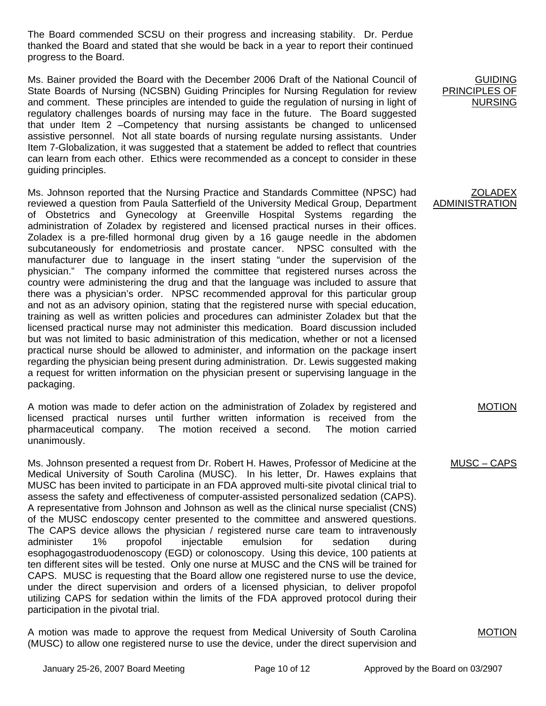The Board commended SCSU on their progress and increasing stability. Dr. Perdue thanked the Board and stated that she would be back in a year to report their continued progress to the Board.

Ms. Bainer provided the Board with the December 2006 Draft of the National Council of State Boards of Nursing (NCSBN) Guiding Principles for Nursing Regulation for review and comment. These principles are intended to guide the regulation of nursing in light of regulatory challenges boards of nursing may face in the future. The Board suggested that under Item 2 –Competency that nursing assistants be changed to unlicensed assistive personnel. Not all state boards of nursing regulate nursing assistants. Under Item 7-Globalization, it was suggested that a statement be added to reflect that countries can learn from each other. Ethics were recommended as a concept to consider in these guiding principles.

Ms. Johnson reported that the Nursing Practice and Standards Committee (NPSC) had reviewed a question from Paula Satterfield of the University Medical Group, Department of Obstetrics and Gynecology at Greenville Hospital Systems regarding the administration of Zoladex by registered and licensed practical nurses in their offices. Zoladex is a pre-filled hormonal drug given by a 16 gauge needle in the abdomen subcutaneously for endometriosis and prostate cancer. NPSC consulted with the manufacturer due to language in the insert stating "under the supervision of the physician." The company informed the committee that registered nurses across the country were administering the drug and that the language was included to assure that there was a physician's order. NPSC recommended approval for this particular group and not as an advisory opinion, stating that the registered nurse with special education, training as well as written policies and procedures can administer Zoladex but that the licensed practical nurse may not administer this medication. Board discussion included but was not limited to basic administration of this medication, whether or not a licensed practical nurse should be allowed to administer, and information on the package insert regarding the physician being present during administration. Dr. Lewis suggested making a request for written information on the physician present or supervising language in the packaging.

A motion was made to defer action on the administration of Zoladex by registered and licensed practical nurses until further written information is received from the pharmaceutical company. The motion received a second. The motion carried unanimously.

Ms. Johnson presented a request from Dr. Robert H. Hawes, Professor of Medicine at the Medical University of South Carolina (MUSC). In his letter, Dr. Hawes explains that MUSC has been invited to participate in an FDA approved multi-site pivotal clinical trial to assess the safety and effectiveness of computer-assisted personalized sedation (CAPS). A representative from Johnson and Johnson as well as the clinical nurse specialist (CNS) of the MUSC endoscopy center presented to the committee and answered questions. The CAPS device allows the physician / registered nurse care team to intravenously administer 1% propofol injectable emulsion for sedation during esophagogastroduodenoscopy (EGD) or colonoscopy. Using this device, 100 patients at ten different sites will be tested. Only one nurse at MUSC and the CNS will be trained for CAPS. MUSC is requesting that the Board allow one registered nurse to use the device, under the direct supervision and orders of a licensed physician, to deliver propofol utilizing CAPS for sedation within the limits of the FDA approved protocol during their participation in the pivotal trial.

A motion was made to approve the request from Medical University of South Carolina (MUSC) to allow one registered nurse to use the device, under the direct supervision and

GUIDING PRINCIPLES OF NURSING

**ZOLADEX** ADMINISTRATION

MOTION

MOTION

MUSC – CAPS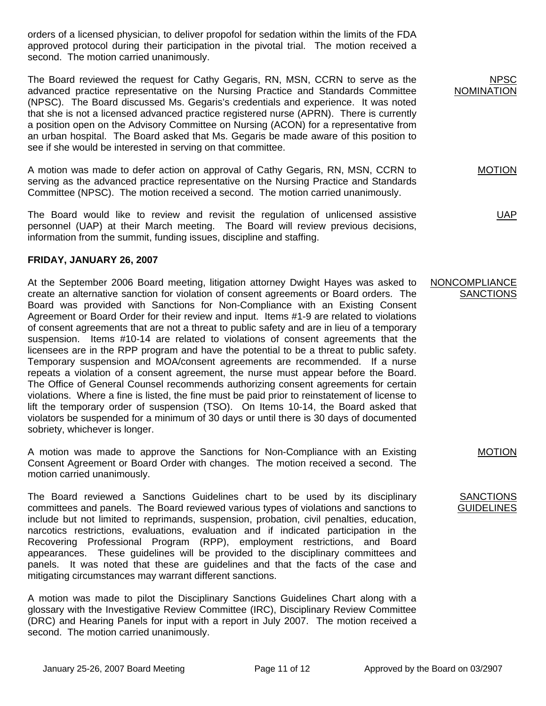orders of a licensed physician, to deliver propofol for sedation within the limits of the FDA approved protocol during their participation in the pivotal trial. The motion received a second. The motion carried unanimously.

The Board reviewed the request for Cathy Gegaris, RN, MSN, CCRN to serve as the advanced practice representative on the Nursing Practice and Standards Committee (NPSC). The Board discussed Ms. Gegaris's credentials and experience. It was noted that she is not a licensed advanced practice registered nurse (APRN). There is currently a position open on the Advisory Committee on Nursing (ACON) for a representative from an urban hospital. The Board asked that Ms. Gegaris be made aware of this position to see if she would be interested in serving on that committee.

A motion was made to defer action on approval of Cathy Gegaris, RN, MSN, CCRN to serving as the advanced practice representative on the Nursing Practice and Standards Committee (NPSC). The motion received a second. The motion carried unanimously.

The Board would like to review and revisit the regulation of unlicensed assistive personnel (UAP) at their March meeting. The Board will review previous decisions, information from the summit, funding issues, discipline and staffing.

# **FRIDAY, JANUARY 26, 2007**

At the September 2006 Board meeting, litigation attorney Dwight Hayes was asked to create an alternative sanction for violation of consent agreements or Board orders. The Board was provided with Sanctions for Non-Compliance with an Existing Consent Agreement or Board Order for their review and input. Items #1-9 are related to violations of consent agreements that are not a threat to public safety and are in lieu of a temporary suspension. Items #10-14 are related to violations of consent agreements that the licensees are in the RPP program and have the potential to be a threat to public safety. Temporary suspension and MOA/consent agreements are recommended. If a nurse repeats a violation of a consent agreement, the nurse must appear before the Board. The Office of General Counsel recommends authorizing consent agreements for certain violations. Where a fine is listed, the fine must be paid prior to reinstatement of license to lift the temporary order of suspension (TSO). On Items 10-14, the Board asked that violators be suspended for a minimum of 30 days or until there is 30 days of documented sobriety, whichever is longer.

A motion was made to approve the Sanctions for Non-Compliance with an Existing Consent Agreement or Board Order with changes. The motion received a second. The motion carried unanimously.

The Board reviewed a Sanctions Guidelines chart to be used by its disciplinary committees and panels. The Board reviewed various types of violations and sanctions to include but not limited to reprimands, suspension, probation, civil penalties, education, narcotics restrictions, evaluations, evaluation and if indicated participation in the Recovering Professional Program (RPP), employment restrictions, and Board appearances. These guidelines will be provided to the disciplinary committees and panels. It was noted that these are guidelines and that the facts of the case and mitigating circumstances may warrant different sanctions.

A motion was made to pilot the Disciplinary Sanctions Guidelines Chart along with a glossary with the Investigative Review Committee (IRC), Disciplinary Review Committee (DRC) and Hearing Panels for input with a report in July 2007. The motion received a second. The motion carried unanimously.

MOTION

UAP

# NONCOMPLIANCE **SANCTIONS**

MOTION

#### **SANCTIONS GUIDELINES**